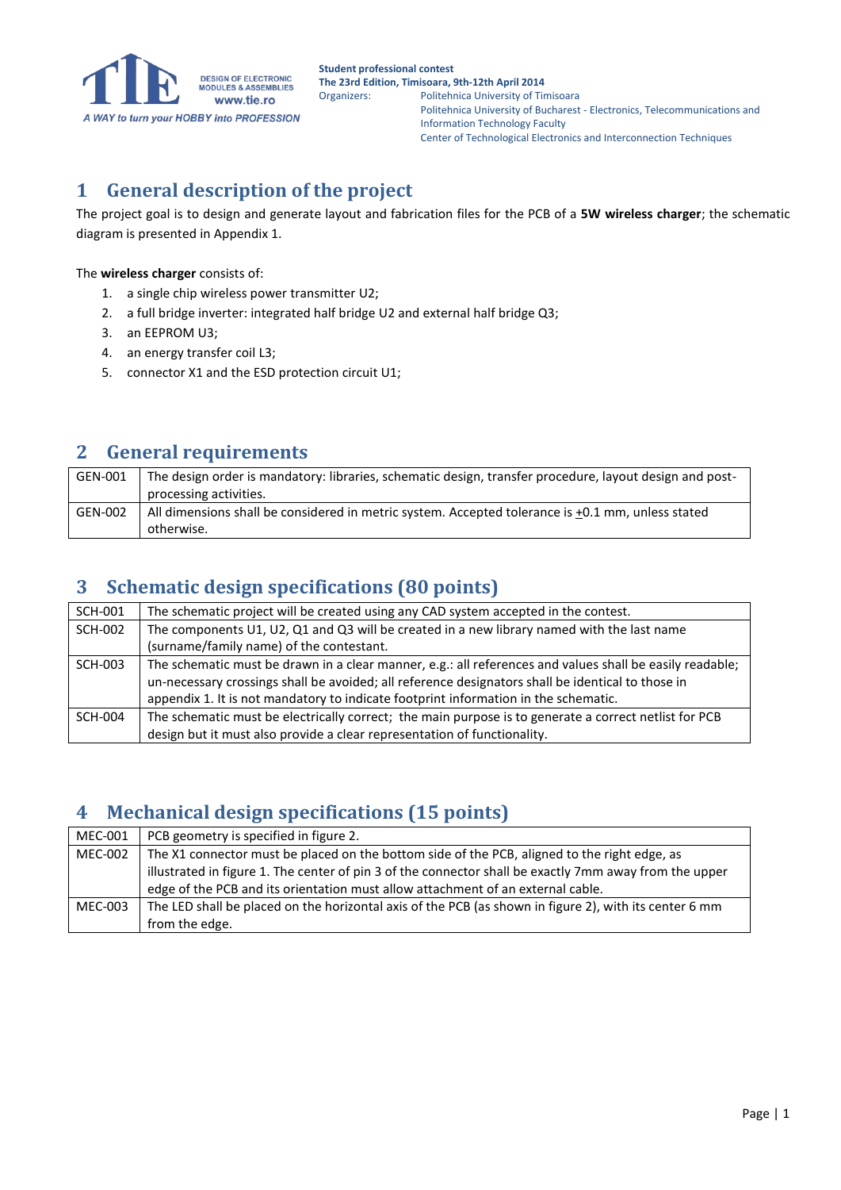

## **1 General description of the project**

The project goal is to design and generate layout and fabrication files for the PCB of a **5W wireless charger**; the schematic diagram is presented in Appendix 1.

#### The **wireless charger** consists of:

- 1. a single chip wireless power transmitter U2;
- 2. a full bridge inverter: integrated half bridge U2 and external half bridge Q3;
- 3. an EEPROM U3;
- 4. an energy transfer coil L3;
- 5. connector X1 and the ESD protection circuit U1;

#### **2 General requirements**

| GEN-001 | The design order is mandatory: libraries, schematic design, transfer procedure, layout design and post- |
|---------|---------------------------------------------------------------------------------------------------------|
|         | processing activities.                                                                                  |
| GEN-002 | All dimensions shall be considered in metric system. Accepted tolerance is +0.1 mm, unless stated       |
|         | otherwise.                                                                                              |

#### **3 Schematic design specifications (80 points)**

| <b>SCH-001</b> | The schematic project will be created using any CAD system accepted in the contest.                      |
|----------------|----------------------------------------------------------------------------------------------------------|
| <b>SCH-002</b> | The components U1, U2, Q1 and Q3 will be created in a new library named with the last name               |
|                | (surname/family name) of the contestant.                                                                 |
| SCH-003        | The schematic must be drawn in a clear manner, e.g.: all references and values shall be easily readable; |
|                | un-necessary crossings shall be avoided; all reference designators shall be identical to those in        |
|                | appendix 1. It is not mandatory to indicate footprint information in the schematic.                      |
| SCH-004        | The schematic must be electrically correct; the main purpose is to generate a correct netlist for PCB    |
|                | design but it must also provide a clear representation of functionality.                                 |

#### **4 Mechanical design specifications (15 points)**

| MEC-001 | PCB geometry is specified in figure 2.                                                                 |
|---------|--------------------------------------------------------------------------------------------------------|
| MEC-002 | The X1 connector must be placed on the bottom side of the PCB, aligned to the right edge, as           |
|         | illustrated in figure 1. The center of pin 3 of the connector shall be exactly 7mm away from the upper |
|         | edge of the PCB and its orientation must allow attachment of an external cable.                        |
| MEC-003 | The LED shall be placed on the horizontal axis of the PCB (as shown in figure 2), with its center 6 mm |
|         | from the edge.                                                                                         |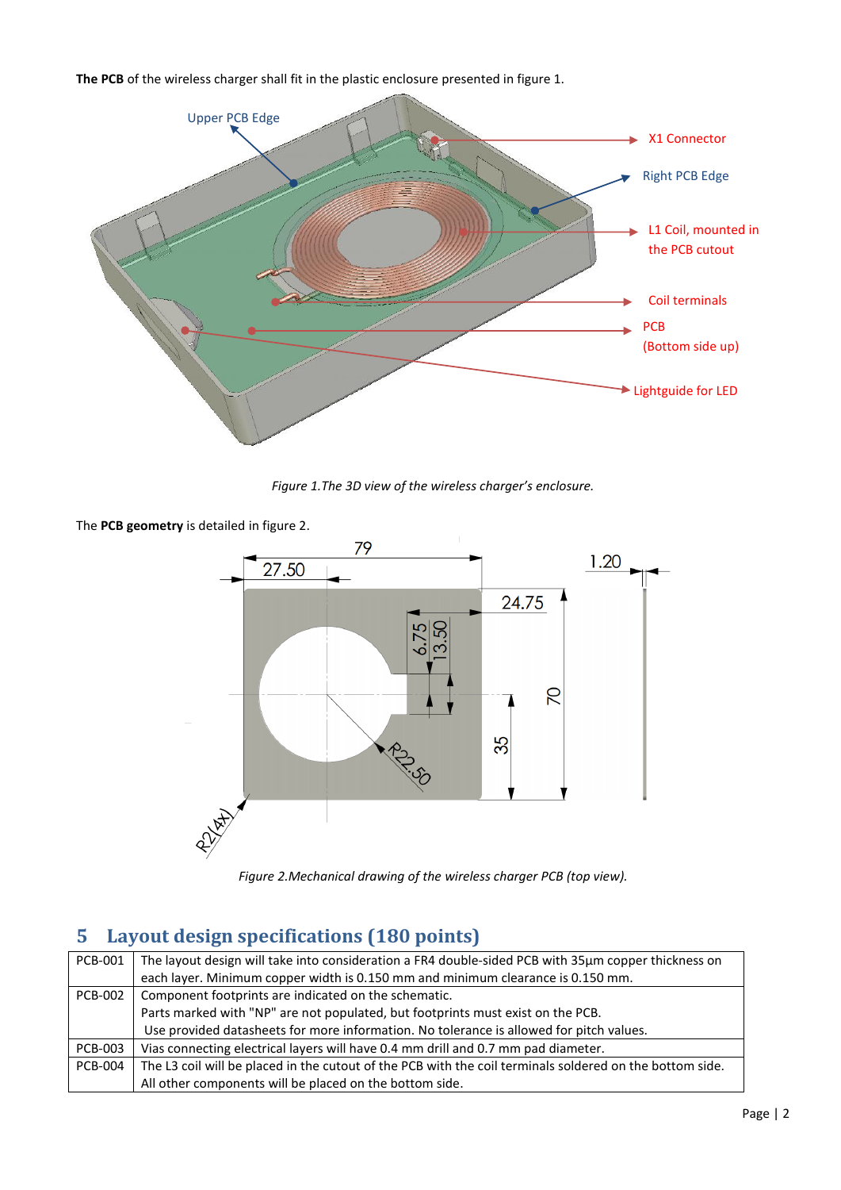**The PCB** of the wireless charger shall fit in the plastic enclosure presented in figure 1.



*Figure 1.The 3D view of the wireless charger's enclosure.*

The **PCB geometry** is detailed in figure 2.



*Figure 2.Mechanical drawing of the wireless charger PCB (top view).*

### **5 Layout design specifications (180 points)**

| PCB-001        | The layout design will take into consideration a FR4 double-sided PCB with 35µm copper thickness on      |
|----------------|----------------------------------------------------------------------------------------------------------|
|                | each layer. Minimum copper width is 0.150 mm and minimum clearance is 0.150 mm.                          |
| <b>PCB-002</b> | Component footprints are indicated on the schematic.                                                     |
|                | Parts marked with "NP" are not populated, but footprints must exist on the PCB.                          |
|                | Use provided datasheets for more information. No tolerance is allowed for pitch values.                  |
| <b>PCB-003</b> | Vias connecting electrical layers will have 0.4 mm drill and 0.7 mm pad diameter.                        |
| <b>PCB-004</b> | The L3 coil will be placed in the cutout of the PCB with the coil terminals soldered on the bottom side. |
|                | All other components will be placed on the bottom side.                                                  |